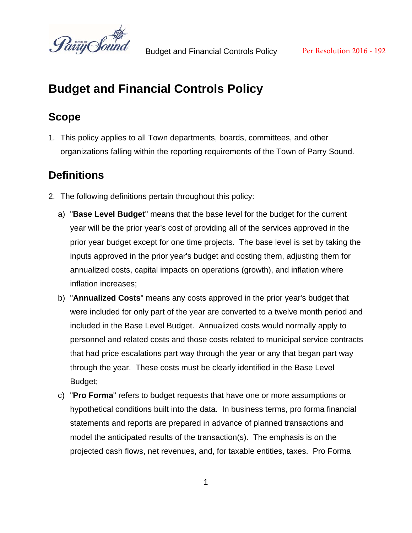

# **Scope**

1. This policy applies to all Town departments, boards, committees, and other organizations falling within the reporting requirements of the Town of Parry Sound.

# **Definitions**

- 2. The following definitions pertain throughout this policy:
	- a) "**Base Level Budget**" means that the base level for the budget for the current year will be the prior year's cost of providing all of the services approved in the prior year budget except for one time projects. The base level is set by taking the inputs approved in the prior year's budget and costing them, adjusting them for annualized costs, capital impacts on operations (growth), and inflation where inflation increases;
	- b) "**Annualized Costs**" means any costs approved in the prior year's budget that were included for only part of the year are converted to a twelve month period and included in the Base Level Budget. Annualized costs would normally apply to personnel and related costs and those costs related to municipal service contracts that had price escalations part way through the year or any that began part way through the year. These costs must be clearly identified in the Base Level Budget;
	- c) "**Pro Forma**" refers to budget requests that have one or more assumptions or hypothetical conditions built into the data. In business terms, pro forma financial statements and reports are prepared in advance of planned transactions and model the anticipated results of the transaction(s). The emphasis is on the projected cash flows, net revenues, and, for taxable entities, taxes. Pro Forma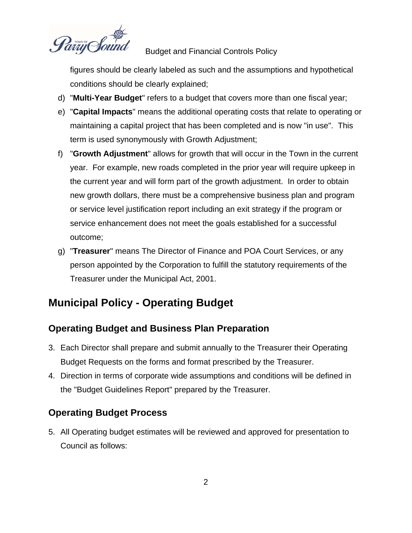

figures should be clearly labeled as such and the assumptions and hypothetical conditions should be clearly explained;

- d) "**Multi-Year Budget**" refers to a budget that covers more than one fiscal year;
- e) "**Capital Impacts**" means the additional operating costs that relate to operating or maintaining a capital project that has been completed and is now "in use". This term is used synonymously with Growth Adjustment;
- f) "**Growth Adjustment**" allows for growth that will occur in the Town in the current year. For example, new roads completed in the prior year will require upkeep in the current year and will form part of the growth adjustment. In order to obtain new growth dollars, there must be a comprehensive business plan and program or service level justification report including an exit strategy if the program or service enhancement does not meet the goals established for a successful outcome;
- g) "**Treasurer**" means The Director of Finance and POA Court Services, or any person appointed by the Corporation to fulfill the statutory requirements of the Treasurer under the Municipal Act, 2001.

# **Municipal Policy - Operating Budget**

## **Operating Budget and Business Plan Preparation**

- 3. Each Director shall prepare and submit annually to the Treasurer their Operating Budget Requests on the forms and format prescribed by the Treasurer.
- 4. Direction in terms of corporate wide assumptions and conditions will be defined in the "Budget Guidelines Report" prepared by the Treasurer.

## **Operating Budget Process**

5. All Operating budget estimates will be reviewed and approved for presentation to Council as follows: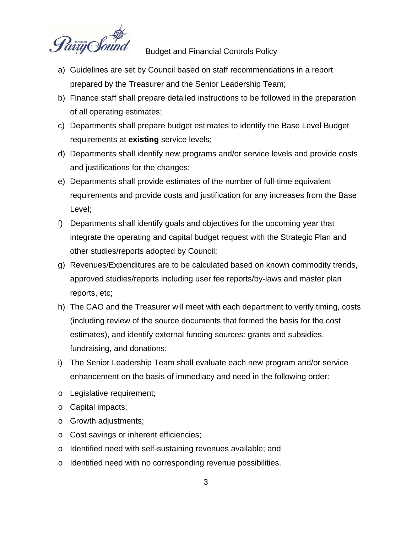

- a) Guidelines are set by Council based on staff recommendations in a report prepared by the Treasurer and the Senior Leadership Team;
- b) Finance staff shall prepare detailed instructions to be followed in the preparation of all operating estimates;
- c) Departments shall prepare budget estimates to identify the Base Level Budget requirements at **existing** service levels;
- d) Departments shall identify new programs and/or service levels and provide costs and justifications for the changes;
- e) Departments shall provide estimates of the number of full-time equivalent requirements and provide costs and justification for any increases from the Base Level;
- f) Departments shall identify goals and objectives for the upcoming year that integrate the operating and capital budget request with the Strategic Plan and other studies/reports adopted by Council;
- g) Revenues/Expenditures are to be calculated based on known commodity trends, approved studies/reports including user fee reports/by-laws and master plan reports, etc;
- h) The CAO and the Treasurer will meet with each department to verify timing, costs (including review of the source documents that formed the basis for the cost estimates), and identify external funding sources: grants and subsidies, fundraising, and donations;
- i) The Senior Leadership Team shall evaluate each new program and/or service enhancement on the basis of immediacy and need in the following order:
- o Legislative requirement;
- o Capital impacts;
- o Growth adjustments;
- o Cost savings or inherent efficiencies;
- o Identified need with self-sustaining revenues available; and
- o Identified need with no corresponding revenue possibilities.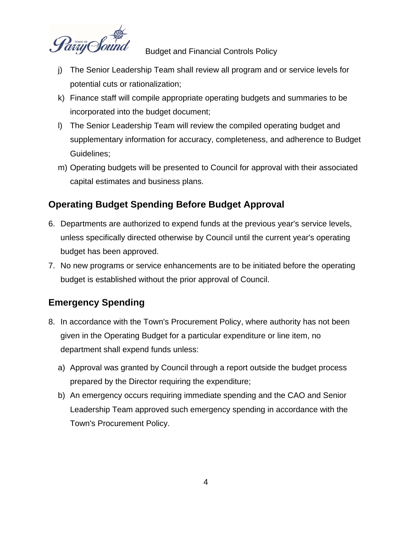

- j) The Senior Leadership Team shall review all program and or service levels for potential cuts or rationalization;
- k) Finance staff will compile appropriate operating budgets and summaries to be incorporated into the budget document;
- l) The Senior Leadership Team will review the compiled operating budget and supplementary information for accuracy, completeness, and adherence to Budget Guidelines;
- m) Operating budgets will be presented to Council for approval with their associated capital estimates and business plans.

# **Operating Budget Spending Before Budget Approval**

- 6. Departments are authorized to expend funds at the previous year's service levels, unless specifically directed otherwise by Council until the current year's operating budget has been approved.
- 7. No new programs or service enhancements are to be initiated before the operating budget is established without the prior approval of Council.

# **Emergency Spending**

- 8. In accordance with the Town's Procurement Policy, where authority has not been given in the Operating Budget for a particular expenditure or line item, no department shall expend funds unless:
	- a) Approval was granted by Council through a report outside the budget process prepared by the Director requiring the expenditure;
	- b) An emergency occurs requiring immediate spending and the CAO and Senior Leadership Team approved such emergency spending in accordance with the Town's Procurement Policy.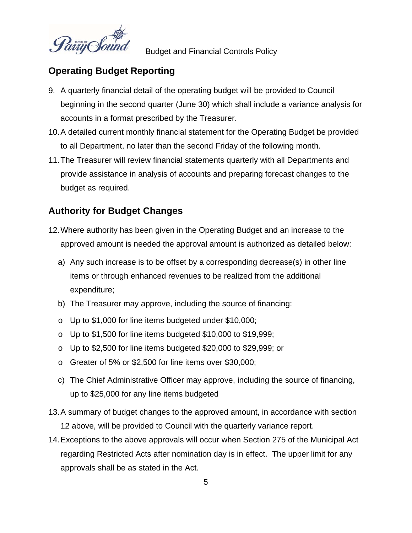

### **Operating Budget Reporting**

- 9. A quarterly financial detail of the operating budget will be provided to Council beginning in the second quarter (June 30) which shall include a variance analysis for accounts in a format prescribed by the Treasurer.
- 10. A detailed current monthly financial statement for the Operating Budget be provided to all Department, no later than the second Friday of the following month.
- 11. The Treasurer will review financial statements quarterly with all Departments and provide assistance in analysis of accounts and preparing forecast changes to the budget as required.

# **Authority for Budget Changes**

- 12. Where authority has been given in the Operating Budget and an increase to the approved amount is needed the approval amount is authorized as detailed below:
	- a) Any such increase is to be offset by a corresponding decrease(s) in other line items or through enhanced revenues to be realized from the additional expenditure;
	- b) The Treasurer may approve, including the source of financing:
	- o Up to \$1,000 for line items budgeted under \$10,000;
	- o Up to \$1,500 for line items budgeted \$10,000 to \$19,999;
	- o Up to \$2,500 for line items budgeted \$20,000 to \$29,999; or
	- o Greater of 5% or \$2,500 for line items over \$30,000;
	- c) The Chief Administrative Officer may approve, including the source of financing, up to \$25,000 for any line items budgeted
- 13. A summary of budget changes to the approved amount, in accordance with section 12 above, will be provided to Council with the quarterly variance report.
- 14. Exceptions to the above approvals will occur when Section 275 of the Municipal Act regarding Restricted Acts after nomination day is in effect. The upper limit for any approvals shall be as stated in the Act.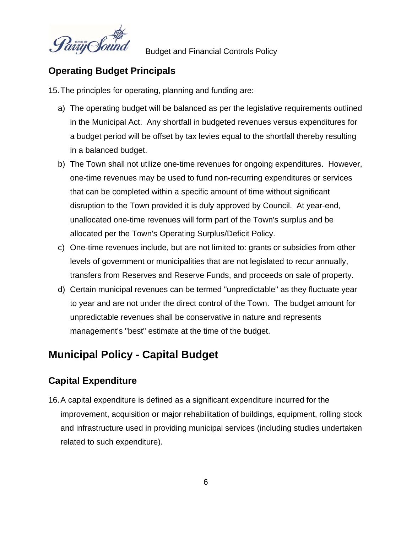

### **Operating Budget Principals**

15. The principles for operating, planning and funding are:

- a) The operating budget will be balanced as per the legislative requirements outlined in the Municipal Act. Any shortfall in budgeted revenues versus expenditures for a budget period will be offset by tax levies equal to the shortfall thereby resulting in a balanced budget.
- b) The Town shall not utilize one-time revenues for ongoing expenditures. However, one-time revenues may be used to fund non-recurring expenditures or services that can be completed within a specific amount of time without significant disruption to the Town provided it is duly approved by Council. At year-end, unallocated one-time revenues will form part of the Town's surplus and be allocated per the Town's Operating Surplus/Deficit Policy.
- c) One-time revenues include, but are not limited to: grants or subsidies from other levels of government or municipalities that are not legislated to recur annually, transfers from Reserves and Reserve Funds, and proceeds on sale of property.
- d) Certain municipal revenues can be termed "unpredictable" as they fluctuate year to year and are not under the direct control of the Town. The budget amount for unpredictable revenues shall be conservative in nature and represents management's "best" estimate at the time of the budget.

# **Municipal Policy - Capital Budget**

## **Capital Expenditure**

16. A capital expenditure is defined as a significant expenditure incurred for the improvement, acquisition or major rehabilitation of buildings, equipment, rolling stock and infrastructure used in providing municipal services (including studies undertaken related to such expenditure).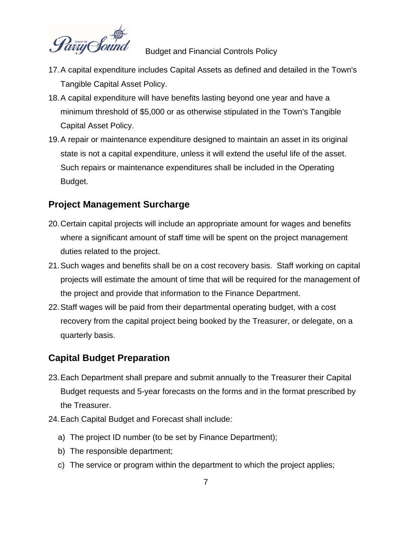

- 17. A capital expenditure includes Capital Assets as defined and detailed in the Town's Tangible Capital Asset Policy.
- 18. A capital expenditure will have benefits lasting beyond one year and have a minimum threshold of \$5,000 or as otherwise stipulated in the Town's Tangible Capital Asset Policy.
- 19. A repair or maintenance expenditure designed to maintain an asset in its original state is not a capital expenditure, unless it will extend the useful life of the asset. Such repairs or maintenance expenditures shall be included in the Operating Budget.

### **Project Management Surcharge**

- 20. Certain capital projects will include an appropriate amount for wages and benefits where a significant amount of staff time will be spent on the project management duties related to the project.
- 21. Such wages and benefits shall be on a cost recovery basis. Staff working on capital projects will estimate the amount of time that will be required for the management of the project and provide that information to the Finance Department.
- 22. Staff wages will be paid from their departmental operating budget, with a cost recovery from the capital project being booked by the Treasurer, or delegate, on a quarterly basis.

## **Capital Budget Preparation**

- 23. Each Department shall prepare and submit annually to the Treasurer their Capital Budget requests and 5-year forecasts on the forms and in the format prescribed by the Treasurer.
- 24. Each Capital Budget and Forecast shall include:
	- a) The project ID number (to be set by Finance Department);
	- b) The responsible department;
	- c) The service or program within the department to which the project applies;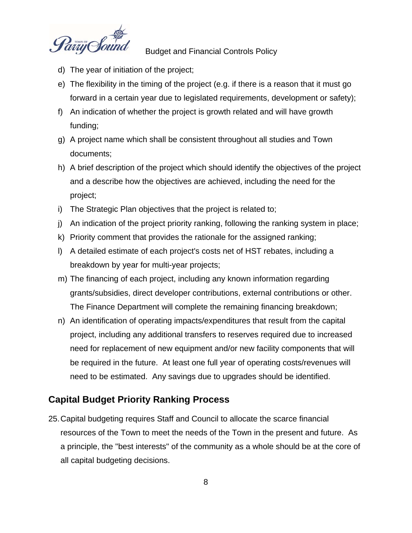

- d) The year of initiation of the project;
- e) The flexibility in the timing of the project (e.g. if there is a reason that it must go forward in a certain year due to legislated requirements, development or safety);
- f) An indication of whether the project is growth related and will have growth funding;
- g) A project name which shall be consistent throughout all studies and Town documents;
- h) A brief description of the project which should identify the objectives of the project and a describe how the objectives are achieved, including the need for the project;
- i) The Strategic Plan objectives that the project is related to;
- j) An indication of the project priority ranking, following the ranking system in place;
- k) Priority comment that provides the rationale for the assigned ranking;
- l) A detailed estimate of each project's costs net of HST rebates, including a breakdown by year for multi-year projects;
- m) The financing of each project, including any known information regarding grants/subsidies, direct developer contributions, external contributions or other. The Finance Department will complete the remaining financing breakdown;
- n) An identification of operating impacts/expenditures that result from the capital project, including any additional transfers to reserves required due to increased need for replacement of new equipment and/or new facility components that will be required in the future. At least one full year of operating costs/revenues will need to be estimated. Any savings due to upgrades should be identified.

#### **Capital Budget Priority Ranking Process**

25. Capital budgeting requires Staff and Council to allocate the scarce financial resources of the Town to meet the needs of the Town in the present and future. As a principle, the "best interests" of the community as a whole should be at the core of all capital budgeting decisions.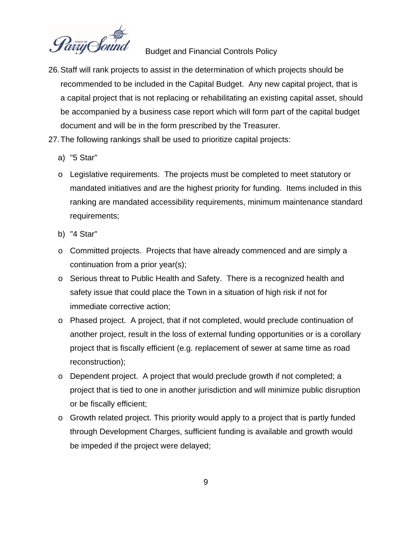

- 26. Staff will rank projects to assist in the determination of which projects should be recommended to be included in the Capital Budget. Any new capital project, that is a capital project that is not replacing or rehabilitating an existing capital asset, should be accompanied by a business case report which will form part of the capital budget document and will be in the form prescribed by the Treasurer.
- 27. The following rankings shall be used to prioritize capital projects:
	- a) "5 Star"
	- o Legislative requirements. The projects must be completed to meet statutory or mandated initiatives and are the highest priority for funding. Items included in this ranking are mandated accessibility requirements, minimum maintenance standard requirements;
	- b) "4 Star"
	- o Committed projects. Projects that have already commenced and are simply a continuation from a prior year(s);
	- o Serious threat to Public Health and Safety. There is a recognized health and safety issue that could place the Town in a situation of high risk if not for immediate corrective action;
	- o Phased project. A project, that if not completed, would preclude continuation of another project, result in the loss of external funding opportunities or is a corollary project that is fiscally efficient (e.g. replacement of sewer at same time as road reconstruction);
	- o Dependent project. A project that would preclude growth if not completed; a project that is tied to one in another jurisdiction and will minimize public disruption or be fiscally efficient;
	- o Growth related project. This priority would apply to a project that is partly funded through Development Charges, sufficient funding is available and growth would be impeded if the project were delayed;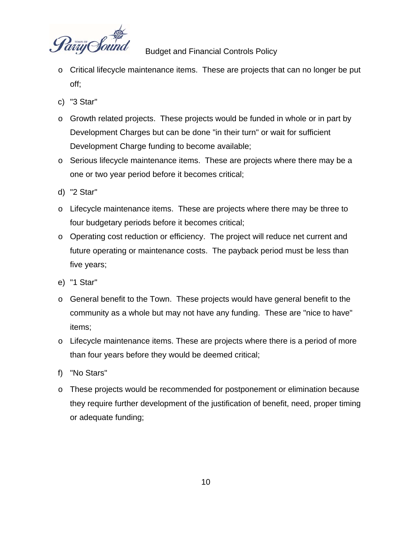

- o Critical lifecycle maintenance items. These are projects that can no longer be put off;
- c) "3 Star"
- o Growth related projects. These projects would be funded in whole or in part by Development Charges but can be done "in their turn" or wait for sufficient Development Charge funding to become available;
- o Serious lifecycle maintenance items. These are projects where there may be a one or two year period before it becomes critical;
- d) "2 Star"
- o Lifecycle maintenance items. These are projects where there may be three to four budgetary periods before it becomes critical;
- o Operating cost reduction or efficiency. The project will reduce net current and future operating or maintenance costs. The payback period must be less than five years;
- e) "1 Star"
- o General benefit to the Town. These projects would have general benefit to the community as a whole but may not have any funding. These are "nice to have" items;
- o Lifecycle maintenance items. These are projects where there is a period of more than four years before they would be deemed critical;
- f) "No Stars"
- o These projects would be recommended for postponement or elimination because they require further development of the justification of benefit, need, proper timing or adequate funding;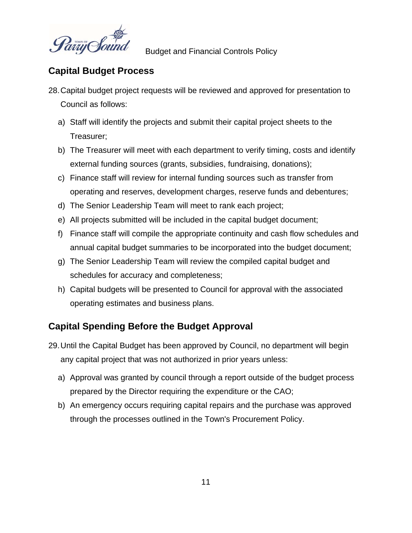

### **Capital Budget Process**

- 28. Capital budget project requests will be reviewed and approved for presentation to Council as follows:
	- a) Staff will identify the projects and submit their capital project sheets to the Treasurer;
	- b) The Treasurer will meet with each department to verify timing, costs and identify external funding sources (grants, subsidies, fundraising, donations);
	- c) Finance staff will review for internal funding sources such as transfer from operating and reserves, development charges, reserve funds and debentures;
	- d) The Senior Leadership Team will meet to rank each project;
	- e) All projects submitted will be included in the capital budget document;
	- f) Finance staff will compile the appropriate continuity and cash flow schedules and annual capital budget summaries to be incorporated into the budget document;
	- g) The Senior Leadership Team will review the compiled capital budget and schedules for accuracy and completeness;
	- h) Capital budgets will be presented to Council for approval with the associated operating estimates and business plans.

## **Capital Spending Before the Budget Approval**

- 29. Until the Capital Budget has been approved by Council, no department will begin any capital project that was not authorized in prior years unless:
	- a) Approval was granted by council through a report outside of the budget process prepared by the Director requiring the expenditure or the CAO;
	- b) An emergency occurs requiring capital repairs and the purchase was approved through the processes outlined in the Town's Procurement Policy.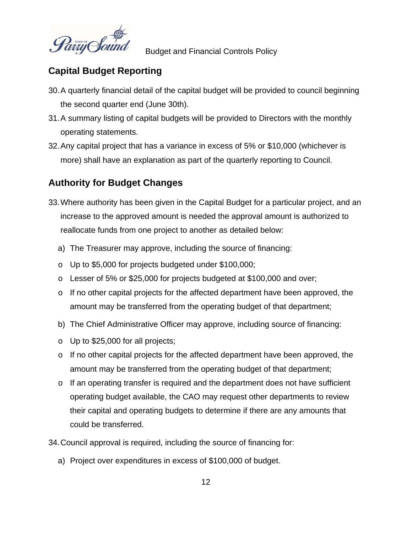

### **Capital Budget Reporting**

- 30. A quarterly financial detail of the capital budget will be provided to council beginning the second quarter end (June 30th).
- 31. A summary listing of capital budgets will be provided to Directors with the monthly operating statements.
- 32. Any capital project that has a variance in excess of 5% or \$10,000 (whichever is more) shall have an explanation as part of the quarterly reporting to Council.

# **Authority for Budget Changes**

- 33. Where authority has been given in the Capital Budget for a particular project, and an increase to the approved amount is needed the approval amount is authorized to reallocate funds from one project to another as detailed below:
	- a) The Treasurer may approve, including the source of financing:
	- o Up to \$5,000 for projects budgeted under \$100,000;
	- o Lesser of 5% or \$25,000 for projects budgeted at \$100,000 and over;
	- $\circ$  If no other capital projects for the affected department have been approved, the amount may be transferred from the operating budget of that department;
	- b) The Chief Administrative Officer may approve, including source of financing:
	- o Up to \$25,000 for all projects;
	- o If no other capital projects for the affected department have been approved, the amount may be transferred from the operating budget of that department;
	- $\circ$  If an operating transfer is required and the department does not have sufficient operating budget available, the CAO may request other departments to review their capital and operating budgets to determine if there are any amounts that could be transferred.
- 34. Council approval is required, including the source of financing for:
	- a) Project over expenditures in excess of \$100,000 of budget.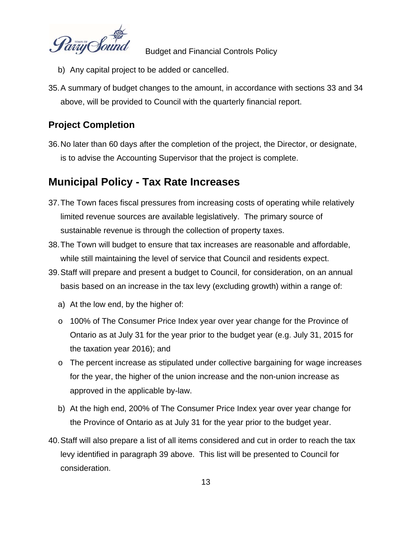

- b) Any capital project to be added or cancelled.
- 35. A summary of budget changes to the amount, in accordance with sections 33 and 34 above, will be provided to Council with the quarterly financial report.

### **Project Completion**

36. No later than 60 days after the completion of the project, the Director, or designate, is to advise the Accounting Supervisor that the project is complete.

# **Municipal Policy - Tax Rate Increases**

- 37. The Town faces fiscal pressures from increasing costs of operating while relatively limited revenue sources are available legislatively. The primary source of sustainable revenue is through the collection of property taxes.
- 38. The Town will budget to ensure that tax increases are reasonable and affordable, while still maintaining the level of service that Council and residents expect.
- 39. Staff will prepare and present a budget to Council, for consideration, on an annual basis based on an increase in the tax levy (excluding growth) within a range of:
	- a) At the low end, by the higher of:
	- o 100% of The Consumer Price Index year over year change for the Province of Ontario as at July 31 for the year prior to the budget year (e.g. July 31, 2015 for the taxation year 2016); and
	- o The percent increase as stipulated under collective bargaining for wage increases for the year, the higher of the union increase and the non-union increase as approved in the applicable by-law.
	- b) At the high end, 200% of The Consumer Price Index year over year change for the Province of Ontario as at July 31 for the year prior to the budget year.
- 40. Staff will also prepare a list of all items considered and cut in order to reach the tax levy identified in paragraph 39 above. This list will be presented to Council for consideration.